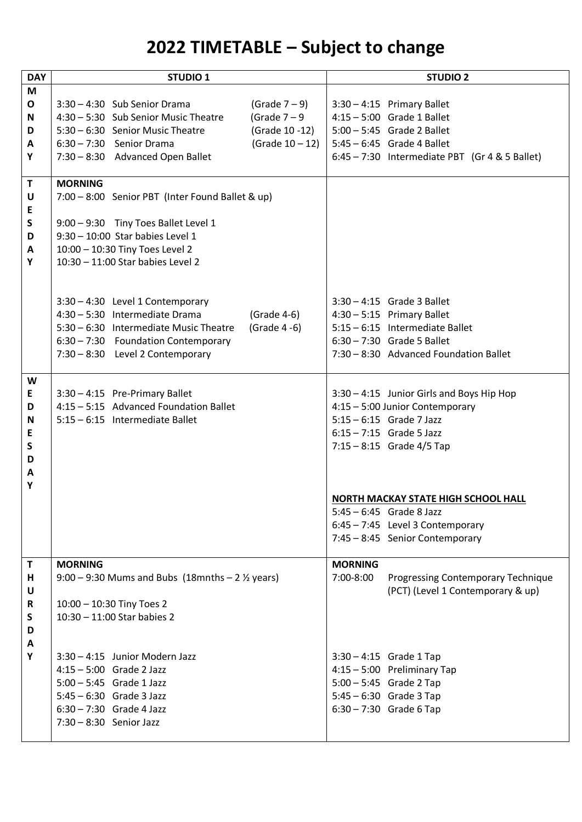## **2022 TIMETABLE – Subject to change**

| <b>DAY</b> | <b>STUDIO 1</b>                                               |                 |                                            | <b>STUDIO 2</b>                                  |
|------------|---------------------------------------------------------------|-----------------|--------------------------------------------|--------------------------------------------------|
| M          |                                                               |                 |                                            |                                                  |
| O          | 3:30 - 4:30 Sub Senior Drama                                  | (Grade $7-9$ )  |                                            | $3:30 - 4:15$ Primary Ballet                     |
| N          | 4:30 - 5:30 Sub Senior Music Theatre                          | (Grade $7-9$    |                                            | $4:15 - 5:00$ Grade 1 Ballet                     |
| D          | 5:30 - 6:30 Senior Music Theatre                              | (Grade 10 -12)  |                                            | $5:00 - 5:45$ Grade 2 Ballet                     |
| A          | 6:30 - 7:30 Senior Drama                                      | (Grade 10 - 12) |                                            | $5:45 - 6:45$ Grade 4 Ballet                     |
| Υ          | 7:30 - 8:30 Advanced Open Ballet                              |                 |                                            | $6:45 - 7:30$ Intermediate PBT (Gr 4 & 5 Ballet) |
|            |                                                               |                 |                                            |                                                  |
| T          | <b>MORNING</b>                                                |                 |                                            |                                                  |
| U          | 7:00 - 8:00 Senior PBT (Inter Found Ballet & up)              |                 |                                            |                                                  |
| E          |                                                               |                 |                                            |                                                  |
| S          | 9:00 - 9:30 Tiny Toes Ballet Level 1                          |                 |                                            |                                                  |
| D          | $9:30 - 10:00$ Star babies Level 1                            |                 |                                            |                                                  |
| A          | 10:00 - 10:30 Tiny Toes Level 2                               |                 |                                            |                                                  |
| Y          | 10:30 - 11:00 Star babies Level 2                             |                 |                                            |                                                  |
|            |                                                               |                 |                                            |                                                  |
|            |                                                               |                 |                                            |                                                  |
|            | 3:30 - 4:30 Level 1 Contemporary                              |                 |                                            | $3:30 - 4:15$ Grade 3 Ballet                     |
|            | 4:30 - 5:30 Intermediate Drama                                | (Grade 4-6)     |                                            | $4:30 - 5:15$ Primary Ballet                     |
|            | 5:30 - 6:30 Intermediate Music Theatre                        | (Grade 4 -6)    |                                            | 5:15 - 6:15 Intermediate Ballet                  |
|            | 6:30 - 7:30 Foundation Contemporary                           |                 |                                            | 6:30 - 7:30 Grade 5 Ballet                       |
|            | 7:30 - 8:30 Level 2 Contemporary                              |                 |                                            | 7:30 - 8:30 Advanced Foundation Ballet           |
|            |                                                               |                 |                                            |                                                  |
| W          |                                                               |                 |                                            |                                                  |
| E          | 3:30 - 4:15 Pre-Primary Ballet                                |                 |                                            | 3:30 - 4:15 Junior Girls and Boys Hip Hop        |
| D          | 4:15 - 5:15 Advanced Foundation Ballet                        |                 |                                            | 4:15 - 5:00 Junior Contemporary                  |
| N          | 5:15 - 6:15 Intermediate Ballet                               |                 |                                            | $5:15 - 6:15$ Grade 7 Jazz                       |
| E          |                                                               |                 |                                            | $6:15 - 7:15$ Grade 5 Jazz                       |
| S          |                                                               |                 |                                            | $7:15 - 8:15$ Grade 4/5 Tap                      |
| D          |                                                               |                 |                                            |                                                  |
| A          |                                                               |                 |                                            |                                                  |
| Υ          |                                                               |                 |                                            |                                                  |
|            |                                                               |                 | <b>NORTH MACKAY STATE HIGH SCHOOL HALL</b> |                                                  |
|            |                                                               |                 |                                            | $5:45 - 6:45$ Grade 8 Jazz                       |
|            |                                                               |                 |                                            | 6:45 - 7:45 Level 3 Contemporary                 |
|            |                                                               |                 |                                            | 7:45 - 8:45 Senior Contemporary                  |
|            |                                                               |                 |                                            |                                                  |
| T          | <b>MORNING</b>                                                |                 | <b>MORNING</b>                             |                                                  |
| н          | $9:00 - 9:30$ Mums and Bubs (18mnths - 2 $\frac{1}{2}$ years) |                 | 7:00-8:00                                  | Progressing Contemporary Technique               |
| U          |                                                               |                 |                                            | (PCT) (Level 1 Contemporary & up)                |
| R          | 10:00 - 10:30 Tiny Toes 2                                     |                 |                                            |                                                  |
| S          | $10:30 - 11:00$ Star babies 2                                 |                 |                                            |                                                  |
| D          |                                                               |                 |                                            |                                                  |
| A          |                                                               |                 |                                            |                                                  |
| Υ          | 3:30 - 4:15 Junior Modern Jazz                                |                 |                                            | $3:30 - 4:15$ Grade 1 Tap                        |
|            | $4:15 - 5:00$ Grade 2 Jazz                                    |                 |                                            | 4:15 - 5:00 Preliminary Tap                      |
|            | $5:00 - 5:45$ Grade 1 Jazz                                    |                 |                                            | $5:00 - 5:45$ Grade 2 Tap                        |
|            | $5:45 - 6:30$ Grade 3 Jazz                                    |                 |                                            | $5:45 - 6:30$ Grade 3 Tap                        |
|            | $6:30 - 7:30$ Grade 4 Jazz                                    |                 |                                            | $6:30 - 7:30$ Grade 6 Tap                        |
|            | 7:30 - 8:30 Senior Jazz                                       |                 |                                            |                                                  |
|            |                                                               |                 |                                            |                                                  |